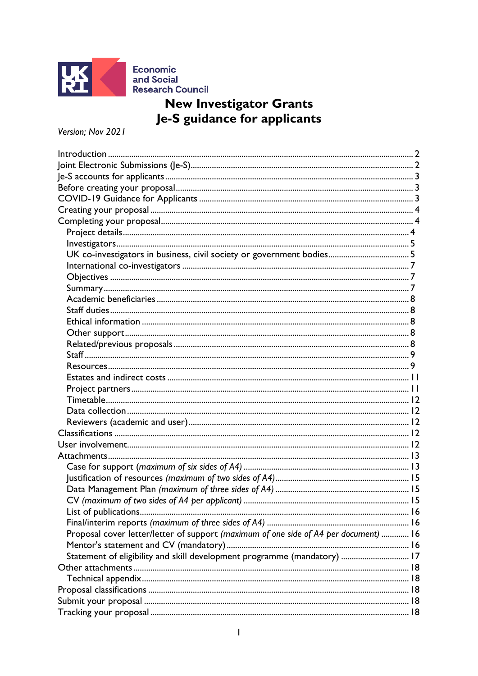

# **New Investigator Grants** Je-S guidance for applicants

Version; Nov 2021

| Proposal cover letter/letter of support (maximum of one side of A4 per document)  16 |  |
|--------------------------------------------------------------------------------------|--|
|                                                                                      |  |
| Statement of eligibility and skill development programme (mandatory)  17             |  |
|                                                                                      |  |
|                                                                                      |  |
|                                                                                      |  |
|                                                                                      |  |
|                                                                                      |  |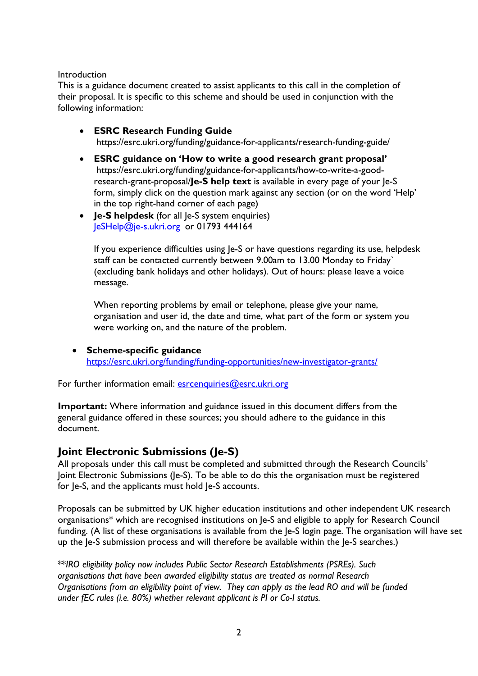#### <span id="page-1-0"></span>Introduction

This is a guidance document created to assist applicants to this call in the completion of their proposal. It is specific to this scheme and should be used in conjunction with the following information:

- **ESRC Research Funding Guide** https://esrc.ukri.org/funding/guidance-for-applicants/research-funding-guide/
- **ESRC guidance on 'How to write a good research grant proposal'** https://esrc.ukri.org/funding/guidance-for-applicants/how-to-write-a-goodresearch-grant-proposal/**Je-S help text** is available in every page of your Je-S form, simply click on the question mark against any section (or on the word 'Help' in the top right-hand corner of each page)
- **Je-S helpdesk** (for all Je-S system enquiries) [JeSHelp@je-s.ukri.org](mailto:JeSHelp@je-s.ukri.org) or 01793 444164

If you experience difficulties using Je-S or have questions regarding its use, helpdesk staff can be contacted currently between 9.00am to 13.00 Monday to Friday` (excluding bank holidays and other holidays). Out of hours: please leave a voice message.

When reporting problems by email or telephone, please give your name, organisation and user id, the date and time, what part of the form or system you were working on, and the nature of the problem.

• **Scheme-specific guidance** <https://esrc.ukri.org/funding/funding-opportunities/new-investigator-grants/>

For further information email: [esrcenquiries@esrc.ukri.org](mailto:esrcenquiries@esrc.ukri.org)

**Important:** Where information and guidance issued in this document differs from the general guidance offered in these sources; you should adhere to the guidance in this document.

## <span id="page-1-1"></span>**Joint Electronic Submissions (Je-S)**

All proposals under this call must be completed and submitted through the Research Councils' Joint Electronic Submissions (Je-S). To be able to do this the organisation must be registered for Je-S, and the applicants must hold Je-S accounts.

Proposals can be submitted by UK higher education institutions and other independent UK research organisations\* which are recognised institutions on Je-S and eligible to apply for Research Council funding. (A list of these organisations is available from the Je-S login page. The organisation will have set up the Je-S submission process and will therefore be available within the Je-S searches.)

\*\**IRO eligibility policy now includes Public Sector Research Establishments (PSREs). Such organisations that have been awarded eligibility status are treated as normal Research Organisations from an eligibility point of view. They can apply as the lead RO and will be funded under fEC rules (i.e. 80%) whether relevant applicant is PI or Co-I status.*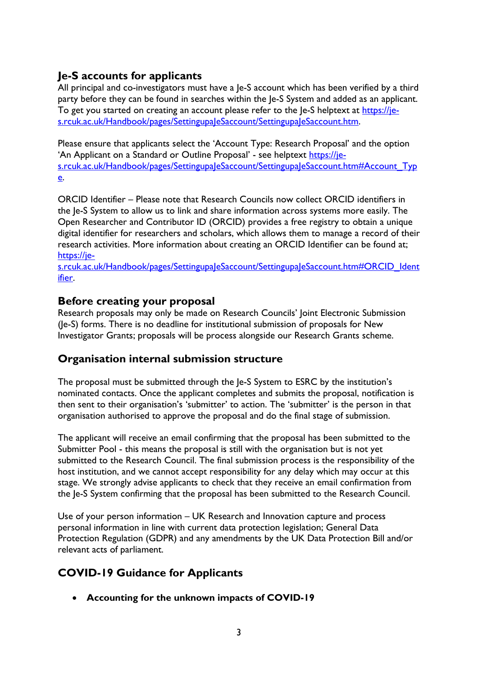## <span id="page-2-0"></span>**Je-S accounts for applicants**

All principal and co-investigators must have a Je-S account which has been verified by a third party before they can be found in searches within the Je-S System and added as an applicant. To get you started on creating an account please refer to the le-S helptext at [https://je](https://je-s.rcuk.ac.uk/Handbook/pages/SettingupaJeSaccount/SettingupaJeSaccount.htm)[s.rcuk.ac.uk/Handbook/pages/SettingupaJeSaccount/SettingupaJeSaccount.htm.](https://je-s.rcuk.ac.uk/Handbook/pages/SettingupaJeSaccount/SettingupaJeSaccount.htm)

Please ensure that applicants select the 'Account Type: Research Proposal' and the option 'An Applicant on a Standard or Outline Proposal' - see helptext [https://je](https://je-s.rcuk.ac.uk/Handbook/pages/SettingupaJeSaccount/SettingupaJeSaccount.htm#Account_Type)[s.rcuk.ac.uk/Handbook/pages/SettingupaJeSaccount/SettingupaJeSaccount.htm#Account\\_Typ](https://je-s.rcuk.ac.uk/Handbook/pages/SettingupaJeSaccount/SettingupaJeSaccount.htm#Account_Type) [e.](https://je-s.rcuk.ac.uk/Handbook/pages/SettingupaJeSaccount/SettingupaJeSaccount.htm#Account_Type)

ORCID Identifier – Please note that Research Councils now collect ORCID identifiers in the Je-S System to allow us to link and share information across systems more easily. The Open Researcher and Contributor ID (ORCID) provides a free registry to obtain a unique digital identifier for researchers and scholars, which allows them to manage a record of their research activities. More information about creating an ORCID Identifier can be found at; [https://je-](https://je-s.rcuk.ac.uk/Handbook/pages/SettingupaJeSaccount/SettingupaJeSaccount.htm#ORCID_Identifier)

[s.rcuk.ac.uk/Handbook/pages/SettingupaJeSaccount/SettingupaJeSaccount.htm#ORCID\\_Ident](https://je-s.rcuk.ac.uk/Handbook/pages/SettingupaJeSaccount/SettingupaJeSaccount.htm#ORCID_Identifier) [ifier.](https://je-s.rcuk.ac.uk/Handbook/pages/SettingupaJeSaccount/SettingupaJeSaccount.htm#ORCID_Identifier)

## <span id="page-2-1"></span>**Before creating your proposal**

Research proposals may only be made on Research Councils' Joint Electronic Submission (Je-S) forms. There is no deadline for institutional submission of proposals for New Investigator Grants; proposals will be process alongside our Research Grants scheme.

## **Organisation internal submission structure**

The proposal must be submitted through the Je-S System to ESRC by the institution's nominated contacts. Once the applicant completes and submits the proposal, notification is then sent to their organisation's 'submitter' to action. The 'submitter' is the person in that organisation authorised to approve the proposal and do the final stage of submission.

The applicant will receive an email confirming that the proposal has been submitted to the Submitter Pool - this means the proposal is still with the organisation but is not yet submitted to the Research Council. The final submission process is the responsibility of the host institution, and we cannot accept responsibility for any delay which may occur at this stage. We strongly advise applicants to check that they receive an email confirmation from the Je-S System confirming that the proposal has been submitted to the Research Council.

Use of your person information – UK Research and Innovation capture and process personal information in line with current data protection legislation; General Data Protection Regulation (GDPR) and any amendments by the UK Data Protection Bill and/or relevant acts of parliament.

## <span id="page-2-2"></span>**COVID-19 Guidance for Applicants**

• **Accounting for the unknown impacts of COVID-19**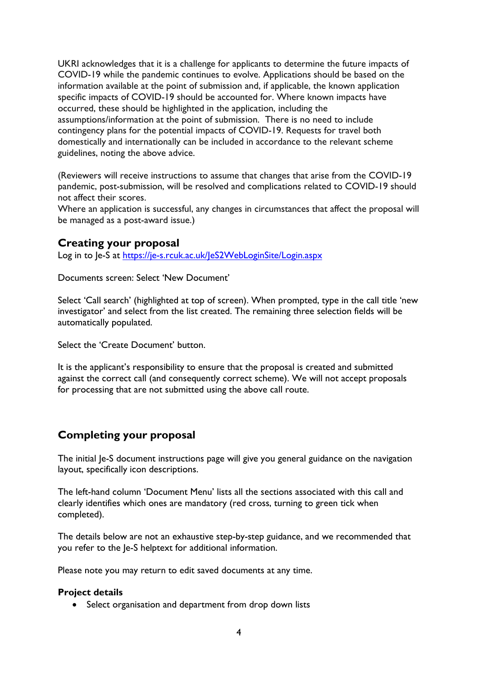UKRI acknowledges that it is a challenge for applicants to determine the future impacts of COVID-19 while the pandemic continues to evolve. Applications should be based on the information available at the point of submission and, if applicable, the known application specific impacts of COVID-19 should be accounted for. Where known impacts have occurred, these should be highlighted in the application, including the assumptions/information at the point of submission. There is no need to include contingency plans for the potential impacts of COVID-19. Requests for travel both domestically and internationally can be included in accordance to the relevant scheme guidelines, noting the above advice.

(Reviewers will receive instructions to assume that changes that arise from the COVID-19 pandemic, post-submission, will be resolved and complications related to COVID-19 should not affect their scores.

Where an application is successful, any changes in circumstances that affect the proposal will be managed as a post-award issue.)

## <span id="page-3-0"></span>**Creating your proposal**

Log in to Je-S at<https://je-s.rcuk.ac.uk/JeS2WebLoginSite/Login.aspx>

Documents screen: Select 'New Document'

Select 'Call search' (highlighted at top of screen). When prompted, type in the call title 'new investigator' and select from the list created. The remaining three selection fields will be automatically populated.

Select the 'Create Document' button.

It is the applicant's responsibility to ensure that the proposal is created and submitted against the correct call (and consequently correct scheme). We will not accept proposals for processing that are not submitted using the above call route.

## <span id="page-3-1"></span>**Completing your proposal**

The initial Je-S document instructions page will give you general guidance on the navigation layout, specifically icon descriptions.

The left-hand column 'Document Menu' lists all the sections associated with this call and clearly identifies which ones are mandatory (red cross, turning to green tick when completed).

The details below are not an exhaustive step-by-step guidance, and we recommended that you refer to the Je-S helptext for additional information.

Please note you may return to edit saved documents at any time.

#### <span id="page-3-2"></span>**Project details**

• Select organisation and department from drop down lists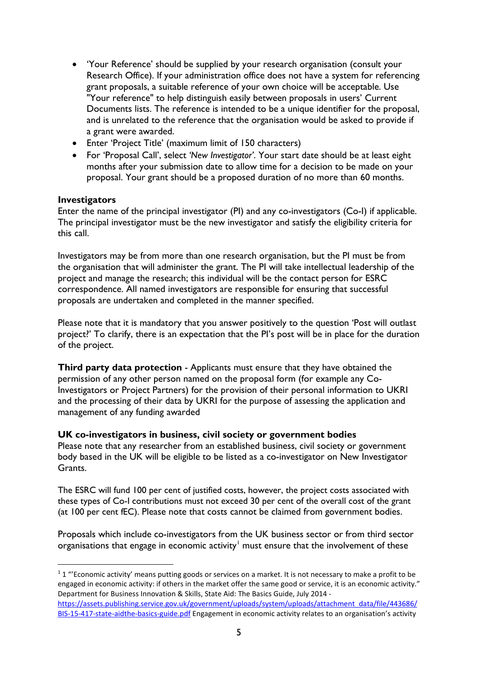- 'Your Reference' should be supplied by your research organisation (consult your Research Office). If your administration office does not have a system for referencing grant proposals, a suitable reference of your own choice will be acceptable. Use "Your reference" to help distinguish easily between proposals in users' Current Documents lists. The reference is intended to be a unique identifier for the proposal, and is unrelated to the reference that the organisation would be asked to provide if a grant were awarded.
- Enter 'Project Title' (maximum limit of 150 characters)
- For 'Proposal Call', select *'New Investigator'*. Your start date should be at least eight months after your submission date to allow time for a decision to be made on your proposal. Your grant should be a proposed duration of no more than 60 months.

#### <span id="page-4-0"></span>**Investigators**

Enter the name of the principal investigator (PI) and any co-investigators (Co-I) if applicable. The principal investigator must be the new investigator and satisfy the eligibility criteria for this call.

Investigators may be from more than one research organisation, but the PI must be from the organisation that will administer the grant. The PI will take intellectual leadership of the project and manage the research; this individual will be the contact person for ESRC correspondence. All named investigators are responsible for ensuring that successful proposals are undertaken and completed in the manner specified.

Please note that it is mandatory that you answer positively to the question 'Post will outlast project?' To clarify, there is an expectation that the PI's post will be in place for the duration of the project.

**Third party data protection** - Applicants must ensure that they have obtained the permission of any other person named on the proposal form (for example any Co-Investigators or Project Partners) for the provision of their personal information to UKRI and the processing of their data by UKRI for the purpose of assessing the application and management of any funding awarded

### <span id="page-4-1"></span>**UK co-investigators in business, civil society or government bodies**

Please note that any researcher from an established business, civil society or government body based in the UK will be eligible to be listed as a co-investigator on New Investigator Grants.

The ESRC will fund 100 per cent of justified costs, however, the project costs associated with these types of Co-I contributions must not exceed 30 per cent of the overall cost of the grant (at 100 per cent fEC). Please note that costs cannot be claimed from government bodies.

Proposals which include co-investigators from the UK business sector or from third sector organisations that engage in economic activity<sup>[1](#page-4-2)</sup> must ensure that the involvement of these

<span id="page-4-2"></span> $11$  "'Economic activity' means putting goods or services on a market. It is not necessary to make a profit to be engaged in economic activity: if others in the market offer the same good or service, it is an economic activity." Department for Business Innovation & Skills, State Aid: The Basics Guide, July 2014 [https://assets.publishing.service.gov.uk/government/uploads/system/uploads/attachment\\_data/file/443686/](https://assets.publishing.service.gov.uk/government/uploads/system/uploads/attachment_data/file/443686/BIS-15-417-state-aidthe-basics-guide.pdf)

[BIS-15-417-state-aidthe-basics-guide.pdf](https://assets.publishing.service.gov.uk/government/uploads/system/uploads/attachment_data/file/443686/BIS-15-417-state-aidthe-basics-guide.pdf) Engagement in economic activity relates to an organisation's activity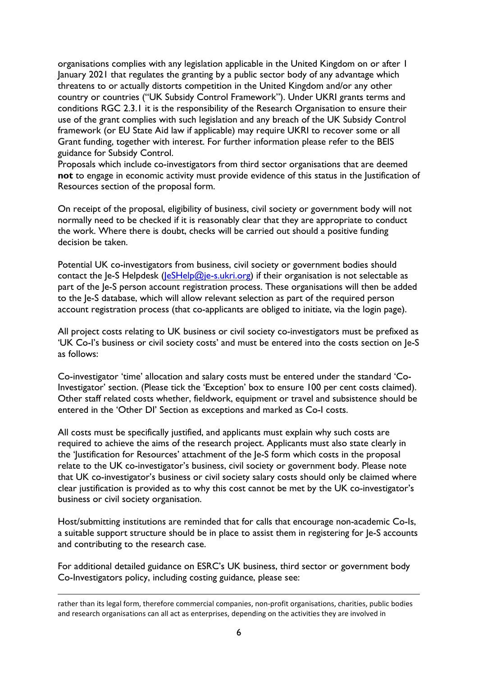organisations complies with any legislation applicable in the United Kingdom on or after 1 January 2021 that regulates the granting by a public sector body of any advantage which threatens to or actually distorts competition in the United Kingdom and/or any other country or countries ("UK Subsidy Control Framework"). Under UKRI grants terms and conditions RGC 2.3.1 it is the responsibility of the Research Organisation to ensure their use of the grant complies with such legislation and any breach of the UK Subsidy Control framework (or EU State Aid law if applicable) may require UKRI to recover some or all Grant funding, together with interest. For further information please refer to the BEIS guidance for Subsidy Control.

Proposals which include co-investigators from third sector organisations that are deemed **not** to engage in economic activity must provide evidence of this status in the Justification of Resources section of the proposal form.

On receipt of the proposal, eligibility of business, civil society or government body will not normally need to be checked if it is reasonably clear that they are appropriate to conduct the work. Where there is doubt, checks will be carried out should a positive funding decision be taken.

Potential UK co-investigators from business, civil society or government bodies should contact the Je-S Helpdesk ( $IeSHelp@ie-s.ukri.org$ ) if their organisation is not selectable as part of the Je-S person account registration process. These organisations will then be added to the Je-S database, which will allow relevant selection as part of the required person account registration process (that co-applicants are obliged to initiate, via the login page).

All project costs relating to UK business or civil society co-investigators must be prefixed as 'UK Co-I's business or civil society costs' and must be entered into the costs section on Je-S as follows:

Co-investigator 'time' allocation and salary costs must be entered under the standard 'Co-Investigator' section. (Please tick the 'Exception' box to ensure 100 per cent costs claimed). Other staff related costs whether, fieldwork, equipment or travel and subsistence should be entered in the 'Other DI' Section as exceptions and marked as Co-I costs.

All costs must be specifically justified, and applicants must explain why such costs are required to achieve the aims of the research project. Applicants must also state clearly in the 'Justification for Resources' attachment of the Je-S form which costs in the proposal relate to the UK co-investigator's business, civil society or government body. Please note that UK co-investigator's business or civil society salary costs should only be claimed where clear justification is provided as to why this cost cannot be met by the UK co-investigator's business or civil society organisation.

Host/submitting institutions are reminded that for calls that encourage non-academic Co-Is, a suitable support structure should be in place to assist them in registering for Je-S accounts and contributing to the research case.

For additional detailed guidance on ESRC's UK business, third sector or government body Co-Investigators policy, including costing guidance, please see:

rather than its legal form, therefore commercial companies, non-profit organisations, charities, public bodies and research organisations can all act as enterprises, depending on the activities they are involved in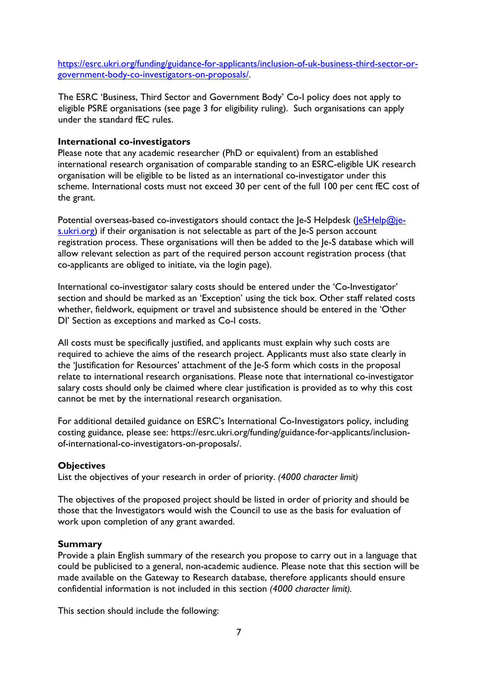[https://esrc.ukri.org/funding/guidance-for-applicants/inclusion-of-uk-business-third-sector-or](https://esrc.ukri.org/funding/guidance-for-applicants/inclusion-of-uk-business-third-sector-or-government-body-co-investigators-on-proposals/)[government-body-co-investigators-on-proposals/.](https://esrc.ukri.org/funding/guidance-for-applicants/inclusion-of-uk-business-third-sector-or-government-body-co-investigators-on-proposals/)

The ESRC 'Business, Third Sector and Government Body' Co-I policy does not apply to eligible PSRE organisations (see page 3 for eligibility ruling). Such organisations can apply under the standard fEC rules.

#### <span id="page-6-0"></span>**International co-investigators**

Please note that any academic researcher (PhD or equivalent) from an established international research organisation of comparable standing to an ESRC-eligible UK research organisation will be eligible to be listed as an international co-investigator under this scheme. International costs must not exceed 30 per cent of the full 100 per cent fEC cost of the grant.

Potential overseas-based co-investigators should contact the Je-S Helpdesk [\(JeSHelp@je](mailto:JeSHelp@je-s.ukri.org)[s.ukri.org\)](mailto:JeSHelp@je-s.ukri.org) if their organisation is not selectable as part of the Je-S person account registration process. These organisations will then be added to the Je-S database which will allow relevant selection as part of the required person account registration process (that co-applicants are obliged to initiate, via the login page).

International co-investigator salary costs should be entered under the 'Co-Investigator' section and should be marked as an 'Exception' using the tick box. Other staff related costs whether, fieldwork, equipment or travel and subsistence should be entered in the 'Other DI' Section as exceptions and marked as Co-I costs.

All costs must be specifically justified, and applicants must explain why such costs are required to achieve the aims of the research project. Applicants must also state clearly in the 'Justification for Resources' attachment of the Je-S form which costs in the proposal relate to international research organisations. Please note that international co-investigator salary costs should only be claimed where clear justification is provided as to why this cost cannot be met by the international research organisation.

For additional detailed guidance on ESRC's International Co-Investigators policy, including costing guidance, please see: https://esrc.ukri.org/funding/guidance-for-applicants/inclusionof-international-co-investigators-on-proposals/.

#### <span id="page-6-1"></span>**Objectives**

List the objectives of your research in order of priority. *(4000 character limit)*

The objectives of the proposed project should be listed in order of priority and should be those that the Investigators would wish the Council to use as the basis for evaluation of work upon completion of any grant awarded.

#### <span id="page-6-2"></span>**Summary**

Provide a plain English summary of the research you propose to carry out in a language that could be publicised to a general, non-academic audience. Please note that this section will be made available on the Gateway to Research database, therefore applicants should ensure confidential information is not included in this section *(4000 character limit).*

This section should include the following: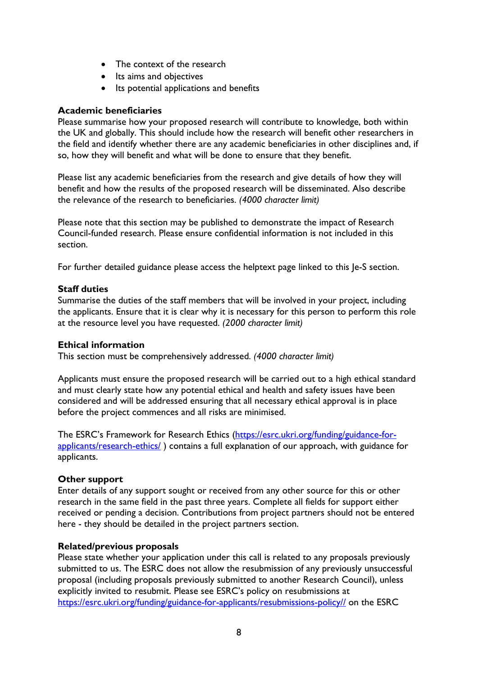- The context of the research
- Its aims and objectives
- Its potential applications and benefits

### <span id="page-7-0"></span>**Academic beneficiaries**

Please summarise how your proposed research will contribute to knowledge, both within the UK and globally. This should include how the research will benefit other researchers in the field and identify whether there are any academic beneficiaries in other disciplines and, if so, how they will benefit and what will be done to ensure that they benefit.

Please list any academic beneficiaries from the research and give details of how they will benefit and how the results of the proposed research will be disseminated. Also describe the relevance of the research to beneficiaries. *(4000 character limit)*

Please note that this section may be published to demonstrate the impact of Research Council-funded research. Please ensure confidential information is not included in this section.

For further detailed guidance please access the helptext page linked to this Je-S section.

### <span id="page-7-1"></span>**Staff duties**

Summarise the duties of the staff members that will be involved in your project, including the applicants. Ensure that it is clear why it is necessary for this person to perform this role at the resource level you have requested. *(2000 character limit)*

#### <span id="page-7-2"></span>**Ethical information**

This section must be comprehensively addressed. *(4000 character limit)*

Applicants must ensure the proposed research will be carried out to a high ethical standard and must clearly state how any potential ethical and health and safety issues have been considered and will be addressed ensuring that all necessary ethical approval is in place before the project commences and all risks are minimised.

The ESRC's Framework for Research Ethics [\(https://esrc.ukri.org/funding/guidance-for](https://esrc.ukri.org/funding/guidance-for-applicants/research-ethics/)[applicants/research-ethics/](https://esrc.ukri.org/funding/guidance-for-applicants/research-ethics/) ) contains a full explanation of our approach, with guidance for applicants.

### <span id="page-7-3"></span>**Other support**

Enter details of any support sought or received from any other source for this or other research in the same field in the past three years. Complete all fields for support either received or pending a decision. Contributions from project partners should not be entered here - they should be detailed in the project partners section.

### <span id="page-7-4"></span>**Related/previous proposals**

Please state whether your application under this call is related to any proposals previously submitted to us. The ESRC does not allow the resubmission of any previously unsuccessful proposal (including proposals previously submitted to another Research Council), unless explicitly invited to resubmit. Please see ESRC's policy on resubmissions at [https://esrc.ukri.org/funding/guidance-for-applicants/resubmissions-policy//](https://esrc.ukri.org/funding/guidance-for-applicants/resubmissions-policy/) on the ESRC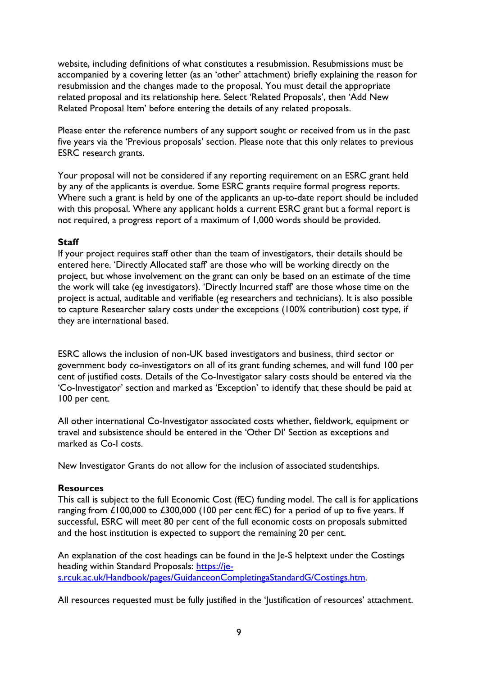website, including definitions of what constitutes a resubmission. Resubmissions must be accompanied by a covering letter (as an 'other' attachment) briefly explaining the reason for resubmission and the changes made to the proposal. You must detail the appropriate related proposal and its relationship here. Select 'Related Proposals', then 'Add New Related Proposal Item' before entering the details of any related proposals.

Please enter the reference numbers of any support sought or received from us in the past five years via the 'Previous proposals' section. Please note that this only relates to previous ESRC research grants.

Your proposal will not be considered if any reporting requirement on an ESRC grant held by any of the applicants is overdue. Some ESRC grants require formal progress reports. Where such a grant is held by one of the applicants an up-to-date report should be included with this proposal. Where any applicant holds a current ESRC grant but a formal report is not required, a progress report of a maximum of 1,000 words should be provided.

#### <span id="page-8-0"></span>**Staff**

If your project requires staff other than the team of investigators, their details should be entered here. 'Directly Allocated staff' are those who will be working directly on the project, but whose involvement on the grant can only be based on an estimate of the time the work will take (eg investigators). 'Directly Incurred staff' are those whose time on the project is actual, auditable and verifiable (eg researchers and technicians). It is also possible to capture Researcher salary costs under the exceptions (100% contribution) cost type, if they are international based.

ESRC allows the inclusion of non-UK based investigators and business, third sector or government body co-investigators on all of its grant funding schemes, and will fund 100 per cent of justified costs. Details of the Co-Investigator salary costs should be entered via the 'Co-Investigator' section and marked as 'Exception' to identify that these should be paid at 100 per cent.

All other international Co-Investigator associated costs whether, fieldwork, equipment or travel and subsistence should be entered in the 'Other DI' Section as exceptions and marked as Co-I costs.

New Investigator Grants do not allow for the inclusion of associated studentships.

### <span id="page-8-1"></span>**Resources**

This call is subject to the full Economic Cost (fEC) funding model. The call is for applications ranging from £100,000 to £300,000 (100 per cent fEC) for a period of up to five years. If successful, ESRC will meet 80 per cent of the full economic costs on proposals submitted and the host institution is expected to support the remaining 20 per cent.

An explanation of the cost headings can be found in the Je-S helptext under the Costings heading within Standard Proposals: [https://je](https://je-s.rcuk.ac.uk/Handbook/pages/GuidanceonCompletingaStandardG/Costings.htm)[s.rcuk.ac.uk/Handbook/pages/GuidanceonCompletingaStandardG/Costings.htm.](https://je-s.rcuk.ac.uk/Handbook/pages/GuidanceonCompletingaStandardG/Costings.htm)

All resources requested must be fully justified in the 'Justification of resources' attachment.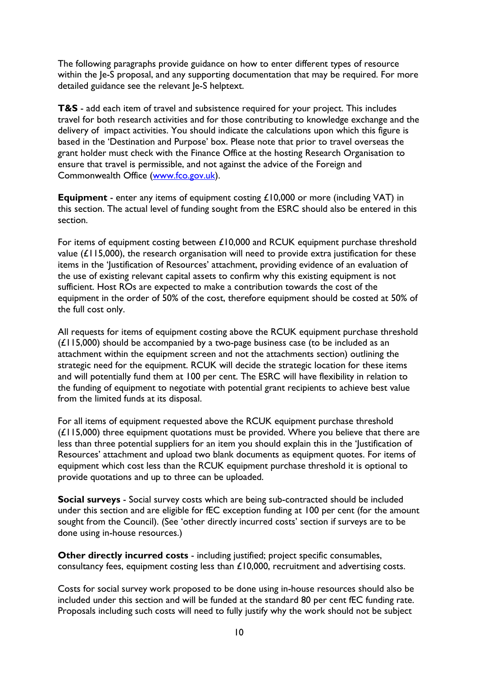The following paragraphs provide guidance on how to enter different types of resource within the Je-S proposal, and any supporting documentation that may be required. For more detailed guidance see the relevant Je-S helptext.

**T&S** - add each item of travel and subsistence required for your project. This includes travel for both research activities and for those contributing to knowledge exchange and the delivery of impact activities. You should indicate the calculations upon which this figure is based in the 'Destination and Purpose' box. Please note that prior to travel overseas the grant holder must check with the Finance Office at the hosting Research Organisation to ensure that travel is permissible, and not against the advice of the Foreign and Commonwealth Office [\(www.fco.gov.uk\)](http://www.fco.gov.uk/).

**Equipment** - enter any items of equipment costing £10,000 or more (including VAT) in this section. The actual level of funding sought from the ESRC should also be entered in this section.

For items of equipment costing between £10,000 and RCUK equipment purchase threshold value  $(L115,000)$ , the research organisation will need to provide extra justification for these items in the 'Justification of Resources' attachment, providing evidence of an evaluation of the use of existing relevant capital assets to confirm why this existing equipment is not sufficient. Host ROs are expected to make a contribution towards the cost of the equipment in the order of 50% of the cost, therefore equipment should be costed at 50% of the full cost only.

All requests for items of equipment costing above the RCUK equipment purchase threshold  $(E115,000)$  should be accompanied by a two-page business case (to be included as an attachment within the equipment screen and not the attachments section) outlining the strategic need for the equipment. RCUK will decide the strategic location for these items and will potentially fund them at 100 per cent. The ESRC will have flexibility in relation to the funding of equipment to negotiate with potential grant recipients to achieve best value from the limited funds at its disposal.

For all items of equipment requested above the RCUK equipment purchase threshold  $(E115,000)$  three equipment quotations must be provided. Where you believe that there are less than three potential suppliers for an item you should explain this in the 'Justification of Resources' attachment and upload two blank documents as equipment quotes. For items of equipment which cost less than the RCUK equipment purchase threshold it is optional to provide quotations and up to three can be uploaded.

**Social surveys** - Social survey costs which are being sub-contracted should be included under this section and are eligible for fEC exception funding at 100 per cent (for the amount sought from the Council). (See 'other directly incurred costs' section if surveys are to be done using in-house resources.)

**Other directly incurred costs** - including justified; project specific consumables, consultancy fees, equipment costing less than £10,000, recruitment and advertising costs.

Costs for social survey work proposed to be done using in-house resources should also be included under this section and will be funded at the standard 80 per cent fEC funding rate. Proposals including such costs will need to fully justify why the work should not be subject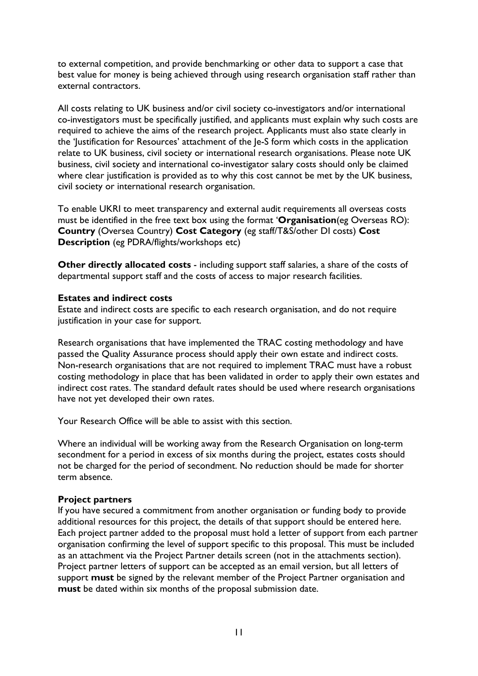to external competition, and provide benchmarking or other data to support a case that best value for money is being achieved through using research organisation staff rather than external contractors.

All costs relating to UK business and/or civil society co-investigators and/or international co-investigators must be specifically justified, and applicants must explain why such costs are required to achieve the aims of the research project. Applicants must also state clearly in the 'Justification for Resources' attachment of the Je-S form which costs in the application relate to UK business, civil society or international research organisations. Please note UK business, civil society and international co-investigator salary costs should only be claimed where clear justification is provided as to why this cost cannot be met by the UK business, civil society or international research organisation.

To enable UKRI to meet transparency and external audit requirements all overseas costs must be identified in the free text box using the format '**Organisation**(eg Overseas RO): **Country** (Oversea Country) **Cost Category** (eg staff/T&S/other DI costs) **Cost Description** (eg PDRA/flights/workshops etc)

**Other directly allocated costs** - including support staff salaries, a share of the costs of departmental support staff and the costs of access to major research facilities.

#### <span id="page-10-0"></span>**Estates and indirect costs**

Estate and indirect costs are specific to each research organisation, and do not require justification in your case for support.

Research organisations that have implemented the TRAC costing methodology and have passed the Quality Assurance process should apply their own estate and indirect costs. Non-research organisations that are not required to implement TRAC must have a robust costing methodology in place that has been validated in order to apply their own estates and indirect cost rates. The standard default rates should be used where research organisations have not yet developed their own rates.

Your Research Office will be able to assist with this section.

Where an individual will be working away from the Research Organisation on long-term secondment for a period in excess of six months during the project, estates costs should not be charged for the period of secondment. No reduction should be made for shorter term absence.

#### <span id="page-10-1"></span>**Project partners**

If you have secured a commitment from another organisation or funding body to provide additional resources for this project, the details of that support should be entered here. Each project partner added to the proposal must hold a letter of support from each partner organisation confirming the level of support specific to this proposal. This must be included as an attachment via the Project Partner details screen (not in the attachments section). Project partner letters of support can be accepted as an email version, but all letters of support **must** be signed by the relevant member of the Project Partner organisation and **must** be dated within six months of the proposal submission date.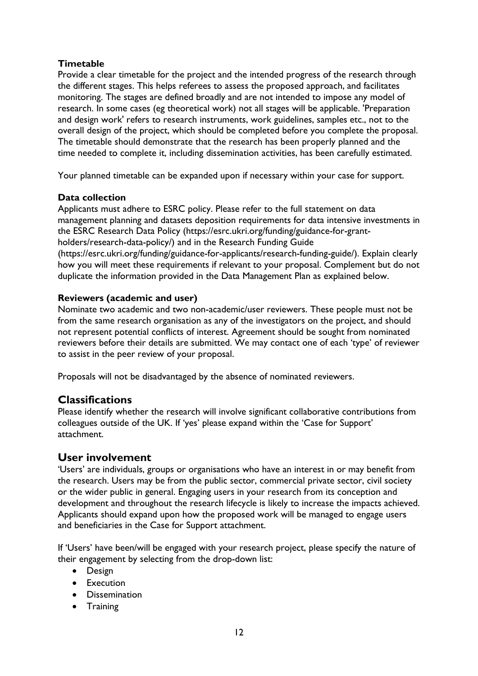### <span id="page-11-0"></span>**Timetable**

Provide a clear timetable for the project and the intended progress of the research through the different stages. This helps referees to assess the proposed approach, and facilitates monitoring. The stages are defined broadly and are not intended to impose any model of research. In some cases (eg theoretical work) not all stages will be applicable. 'Preparation and design work' refers to research instruments, work guidelines, samples etc., not to the overall design of the project, which should be completed before you complete the proposal. The timetable should demonstrate that the research has been properly planned and the time needed to complete it, including dissemination activities, has been carefully estimated.

Your planned timetable can be expanded upon if necessary within your case for support.

### <span id="page-11-1"></span>**Data collection**

Applicants must adhere to ESRC policy. Please refer to the full statement on data management planning and datasets deposition requirements for data intensive investments in the ESRC Research Data Policy (https://esrc.ukri.org/funding/guidance-for-grantholders/research-data-policy/) and in the Research Funding Guide (https://esrc.ukri.org/funding/guidance-for-applicants/research-funding-guide/). Explain clearly how you will meet these requirements if relevant to your proposal. Complement but do not duplicate the information provided in the Data Management Plan as explained below.

### <span id="page-11-2"></span>**Reviewers (academic and user)**

Nominate two academic and two non-academic/user reviewers. These people must not be from the same research organisation as any of the investigators on the project, and should not represent potential conflicts of interest. Agreement should be sought from nominated reviewers before their details are submitted. We may contact one of each 'type' of reviewer to assist in the peer review of your proposal.

Proposals will not be disadvantaged by the absence of nominated reviewers.

## <span id="page-11-3"></span>**Classifications**

Please identify whether the research will involve significant collaborative contributions from colleagues outside of the UK. If 'yes' please expand within the 'Case for Support' attachment.

## <span id="page-11-4"></span>**User involvement**

'Users' are individuals, groups or organisations who have an interest in or may benefit from the research. Users may be from the public sector, commercial private sector, civil society or the wider public in general. Engaging users in your research from its conception and development and throughout the research lifecycle is likely to increase the impacts achieved. Applicants should expand upon how the proposed work will be managed to engage users and beneficiaries in the Case for Support attachment.

If 'Users' have been/will be engaged with your research project, please specify the nature of their engagement by selecting from the drop-down list:

- Design
- Execution
- Dissemination
- Training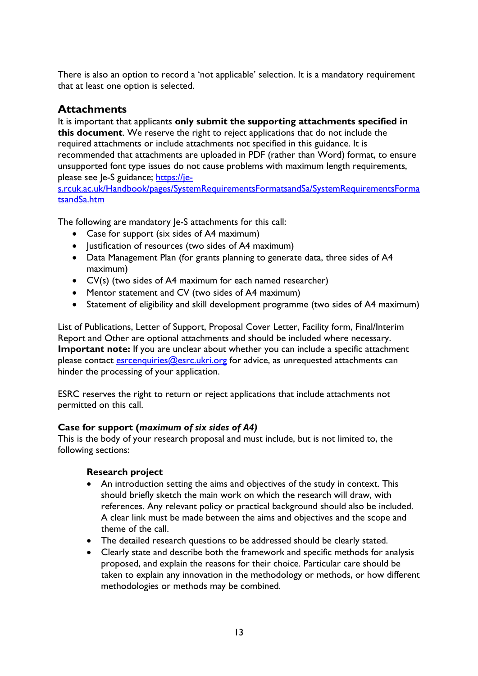There is also an option to record a 'not applicable' selection. It is a mandatory requirement that at least one option is selected.

## <span id="page-12-0"></span>**Attachments**

It is important that applicants **only submit the supporting attachments specified in this document**. We reserve the right to reject applications that do not include the required attachments or include attachments not specified in this guidance. It is recommended that attachments are uploaded in PDF (rather than Word) format, to ensure unsupported font type issues do not cause problems with maximum length requirements, please see Je-S guidance; [https://je-](https://je-s.rcuk.ac.uk/Handbook/pages/SystemRequirementsFormatsandSa/SystemRequirementsFormatsandSa.htm)

[s.rcuk.ac.uk/Handbook/pages/SystemRequirementsFormatsandSa/SystemRequirementsForma](https://je-s.rcuk.ac.uk/Handbook/pages/SystemRequirementsFormatsandSa/SystemRequirementsFormatsandSa.htm) [tsandSa.htm](https://je-s.rcuk.ac.uk/Handbook/pages/SystemRequirementsFormatsandSa/SystemRequirementsFormatsandSa.htm)

The following are mandatory Je-S attachments for this call:

- Case for support (six sides of A4 maximum)
- Justification of resources (two sides of A4 maximum)
- Data Management Plan (for grants planning to generate data, three sides of A4 maximum)
- CV(s) (two sides of A4 maximum for each named researcher)
- Mentor statement and CV (two sides of A4 maximum)
- Statement of eligibility and skill development programme (two sides of A4 maximum)

List of Publications, Letter of Support, Proposal Cover Letter, Facility form, Final/Interim Report and Other are optional attachments and should be included where necessary. **Important note:** If you are unclear about whether you can include a specific attachment please contact **esrcenquiries@esrc.ukri.org** for advice, as unrequested attachments can hinder the processing of your application.

ESRC reserves the right to return or reject applications that include attachments not permitted on this call.

## <span id="page-12-1"></span>**Case for support (***maximum of six sides of A4)*

This is the body of your research proposal and must include, but is not limited to, the following sections:

### **Research project**

- An introduction setting the aims and objectives of the study in context. This should briefly sketch the main work on which the research will draw, with references. Any relevant policy or practical background should also be included. A clear link must be made between the aims and objectives and the scope and theme of the call.
- The detailed research questions to be addressed should be clearly stated.
- Clearly state and describe both the framework and specific methods for analysis proposed, and explain the reasons for their choice. Particular care should be taken to explain any innovation in the methodology or methods, or how different methodologies or methods may be combined.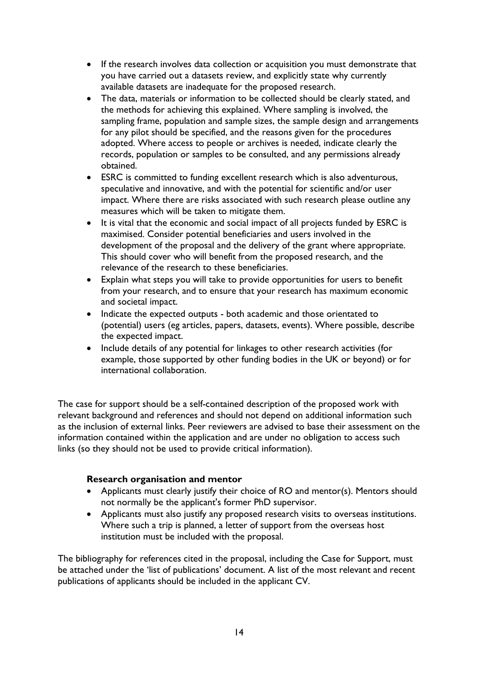- If the research involves data collection or acquisition you must demonstrate that you have carried out a datasets review, and explicitly state why currently available datasets are inadequate for the proposed research.
- The data, materials or information to be collected should be clearly stated, and the methods for achieving this explained. Where sampling is involved, the sampling frame, population and sample sizes, the sample design and arrangements for any pilot should be specified, and the reasons given for the procedures adopted. Where access to people or archives is needed, indicate clearly the records, population or samples to be consulted, and any permissions already obtained.
- ESRC is committed to funding excellent research which is also adventurous, speculative and innovative, and with the potential for scientific and/or user impact. Where there are risks associated with such research please outline any measures which will be taken to mitigate them.
- It is vital that the economic and social impact of all projects funded by ESRC is maximised. Consider potential beneficiaries and users involved in the development of the proposal and the delivery of the grant where appropriate. This should cover who will benefit from the proposed research, and the relevance of the research to these beneficiaries.
- Explain what steps you will take to provide opportunities for users to benefit from your research, and to ensure that your research has maximum economic and societal impact.
- Indicate the expected outputs both academic and those orientated to (potential) users (eg articles, papers, datasets, events). Where possible, describe the expected impact.
- Include details of any potential for linkages to other research activities (for example, those supported by other funding bodies in the UK or beyond) or for international collaboration.

The case for support should be a self-contained description of the proposed work with relevant background and references and should not depend on additional information such as the inclusion of external links. Peer reviewers are advised to base their assessment on the information contained within the application and are under no obligation to access such links (so they should not be used to provide critical information).

### **Research organisation and mentor**

- Applicants must clearly justify their choice of RO and mentor(s). Mentors should not normally be the applicant's former PhD supervisor.
- Applicants must also justify any proposed research visits to overseas institutions. Where such a trip is planned, a letter of support from the overseas host institution must be included with the proposal.

The bibliography for references cited in the proposal, including the Case for Support, must be attached under the 'list of publications' document. A list of the most relevant and recent publications of applicants should be included in the applicant CV.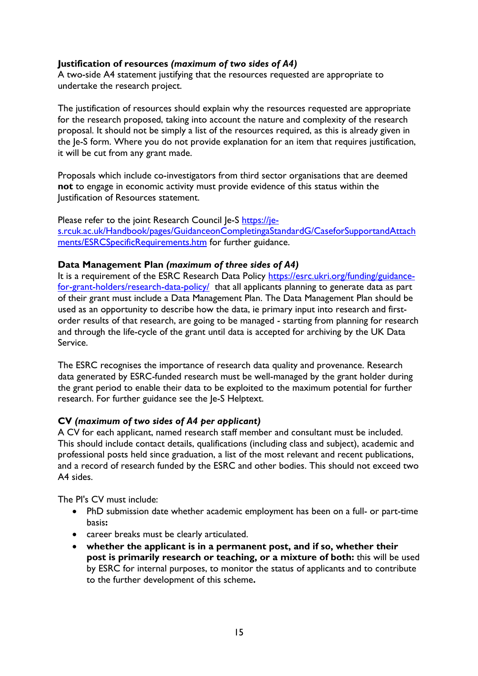### <span id="page-14-0"></span>**Justification of resources** *(maximum of two sides of A4)*

A two-side A4 statement justifying that the resources requested are appropriate to undertake the research project.

The justification of resources should explain why the resources requested are appropriate for the research proposed, taking into account the nature and complexity of the research proposal. It should not be simply a list of the resources required, as this is already given in the Je-S form. Where you do not provide explanation for an item that requires justification, it will be cut from any grant made.

Proposals which include co-investigators from third sector organisations that are deemed **not** to engage in economic activity must provide evidence of this status within the Justification of Resources statement.

Please refer to the joint Research Council Je-S [https://je](https://je-s.rcuk.ac.uk/Handbook/pages/GuidanceonCompletingaStandardG/CaseforSupportandAttachments/ESRCSpecificRequirements.htm)[s.rcuk.ac.uk/Handbook/pages/GuidanceonCompletingaStandardG/CaseforSupportandAttach](https://je-s.rcuk.ac.uk/Handbook/pages/GuidanceonCompletingaStandardG/CaseforSupportandAttachments/ESRCSpecificRequirements.htm) [ments/ESRCSpecificRequirements.htm](https://je-s.rcuk.ac.uk/Handbook/pages/GuidanceonCompletingaStandardG/CaseforSupportandAttachments/ESRCSpecificRequirements.htm) for further guidance.

#### <span id="page-14-1"></span>**Data Management Plan** *(maximum of three sides of A4)*

It is a requirement of the ESRC Research Data Policy [https://esrc.ukri.org/funding/guidance](https://esrc.ukri.org/funding/guidance-for-grant-holders/research-data-policy/)[for-grant-holders/research-data-policy/](https://esrc.ukri.org/funding/guidance-for-grant-holders/research-data-policy/) that all applicants planning to generate data as part of their grant must include a Data Management Plan. The Data Management Plan should be used as an opportunity to describe how the data, ie primary input into research and firstorder results of that research, are going to be managed - starting from planning for research and through the life-cycle of the grant until data is accepted for archiving by the UK Data Service.

The ESRC recognises the importance of research data quality and provenance. Research data generated by ESRC-funded research must be well-managed by the grant holder during the grant period to enable their data to be exploited to the maximum potential for further research. For further guidance see the Je-S Helptext.

#### <span id="page-14-2"></span>**CV** *(maximum of two sides of A4 per applicant)*

A CV for each applicant, named research staff member and consultant must be included. This should include contact details, qualifications (including class and subject), academic and professional posts held since graduation, a list of the most relevant and recent publications, and a record of research funded by the ESRC and other bodies. This should not exceed two A4 sides.

The PI's CV must include:

- PhD submission date whether academic employment has been on a full- or part-time basis**:**
- career breaks must be clearly articulated.
- **whether the applicant is in a permanent post, and if so, whether their post is primarily research or teaching, or a mixture of both:** this will be used by ESRC for internal purposes, to monitor the status of applicants and to contribute to the further development of this scheme**.**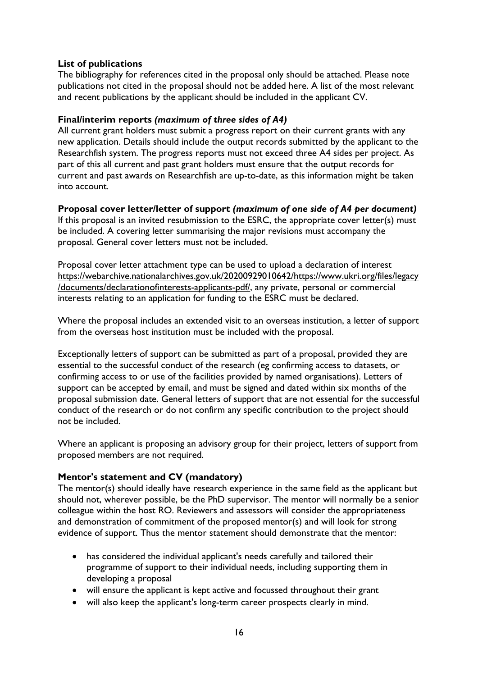### <span id="page-15-0"></span>**List of publications**

The bibliography for references cited in the proposal only should be attached. Please note publications not cited in the proposal should not be added here. A list of the most relevant and recent publications by the applicant should be included in the applicant CV.

#### <span id="page-15-1"></span>**Final/interim reports** *(maximum of three sides of A4)*

All current grant holders must submit a progress report on their current grants with any new application. Details should include the output records submitted by the applicant to the Researchfish system. The progress reports must not exceed three A4 sides per project. As part of this all current and past grant holders must ensure that the output records for current and past awards on Researchfish are up-to-date, as this information might be taken into account.

### <span id="page-15-2"></span>**Proposal cover letter/letter of support** *(maximum of one side of A4 per document)*

If this proposal is an invited resubmission to the ESRC, the appropriate cover letter(s) must be included. A covering letter summarising the major revisions must accompany the proposal. General cover letters must not be included.

Proposal cover letter attachment type can be used to upload a declaration of interest [https://webarchive.nationalarchives.gov.uk/20200929010642/https://www.ukri.org/files/legacy](https://eur01.safelinks.protection.outlook.com/?url=https%3A%2F%2Fwebarchive.nationalarchives.gov.uk%2F20200929010642%2Fhttps%3A%2Fwww.ukri.org%2Ffiles%2Flegacy%2Fdocuments%2Fdeclarationofinterests-applicants-pdf%2F&data=04%7C01%7CJulian.Style%40esrc.ukri.org%7Cfa4eda9777214479056c08d88be3defa%7C2dcfd016f9df488cb16b68345b59afb7%7C0%7C0%7C637413158094663635%7CUnknown%7CTWFpbGZsb3d8eyJWIjoiMC4wLjAwMDAiLCJQIjoiV2luMzIiLCJBTiI6Ik1haWwiLCJXVCI6Mn0%3D%7C1000&sdata=8o%2B7HrekVY734FFX2cE4ixxZFPJ71UKWBjm%2F%2BcX74fs%3D&reserved=0) [/documents/declarationofinterests-applicants-pdf/,](https://eur01.safelinks.protection.outlook.com/?url=https%3A%2F%2Fwebarchive.nationalarchives.gov.uk%2F20200929010642%2Fhttps%3A%2Fwww.ukri.org%2Ffiles%2Flegacy%2Fdocuments%2Fdeclarationofinterests-applicants-pdf%2F&data=04%7C01%7CJulian.Style%40esrc.ukri.org%7Cfa4eda9777214479056c08d88be3defa%7C2dcfd016f9df488cb16b68345b59afb7%7C0%7C0%7C637413158094663635%7CUnknown%7CTWFpbGZsb3d8eyJWIjoiMC4wLjAwMDAiLCJQIjoiV2luMzIiLCJBTiI6Ik1haWwiLCJXVCI6Mn0%3D%7C1000&sdata=8o%2B7HrekVY734FFX2cE4ixxZFPJ71UKWBjm%2F%2BcX74fs%3D&reserved=0) any private, personal or commercial interests relating to an application for funding to the ESRC must be declared.

Where the proposal includes an extended visit to an overseas institution, a letter of support from the overseas host institution must be included with the proposal.

Exceptionally letters of support can be submitted as part of a proposal, provided they are essential to the successful conduct of the research (eg confirming access to datasets, or confirming access to or use of the facilities provided by named organisations). Letters of support can be accepted by email, and must be signed and dated within six months of the proposal submission date. General letters of support that are not essential for the successful conduct of the research or do not confirm any specific contribution to the project should not be included.

Where an applicant is proposing an advisory group for their project, letters of support from proposed members are not required.

### <span id="page-15-3"></span>**Mentor's statement and CV (mandatory)**

The mentor(s) should ideally have research experience in the same field as the applicant but should not, wherever possible, be the PhD supervisor. The mentor will normally be a senior colleague within the host RO. Reviewers and assessors will consider the appropriateness and demonstration of commitment of the proposed mentor(s) and will look for strong evidence of support. Thus the mentor statement should demonstrate that the mentor:

- has considered the individual applicant's needs carefully and tailored their programme of support to their individual needs, including supporting them in developing a proposal
- will ensure the applicant is kept active and focussed throughout their grant
- will also keep the applicant's long-term career prospects clearly in mind.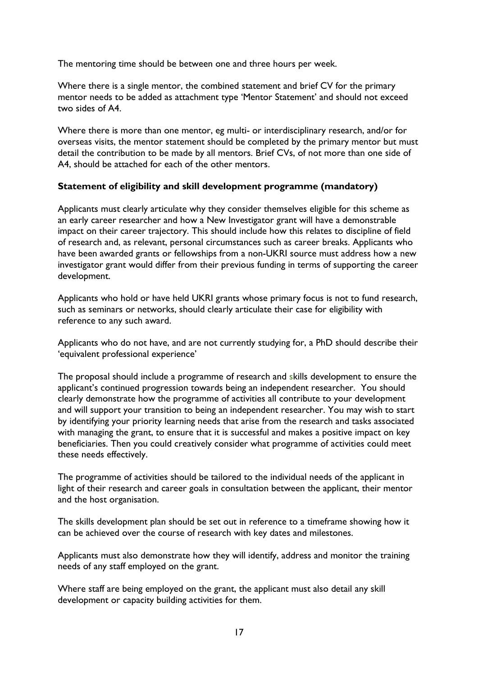The mentoring time should be between one and three hours per week.

Where there is a single mentor, the combined statement and brief CV for the primary mentor needs to be added as attachment type 'Mentor Statement' and should not exceed two sides of A4.

Where there is more than one mentor, eg multi- or interdisciplinary research, and/or for overseas visits, the mentor statement should be completed by the primary mentor but must detail the contribution to be made by all mentors. Brief CVs, of not more than one side of A4, should be attached for each of the other mentors.

### <span id="page-16-0"></span>**Statement of eligibility and skill development programme (mandatory)**

Applicants must clearly articulate why they consider themselves eligible for this scheme as an early career researcher and how a New Investigator grant will have a demonstrable impact on their career trajectory. This should include how this relates to discipline of field of research and, as relevant, personal circumstances such as career breaks. Applicants who have been awarded grants or fellowships from a non-UKRI source must address how a new investigator grant would differ from their previous funding in terms of supporting the career development.

Applicants who hold or have held UKRI grants whose primary focus is not to fund research, such as seminars or networks, should clearly articulate their case for eligibility with reference to any such award.

Applicants who do not have, and are not currently studying for, a PhD should describe their 'equivalent professional experience'

The proposal should include a programme of research and skills development to ensure the applicant's continued progression towards being an independent researcher. You should clearly demonstrate how the programme of activities all contribute to your development and will support your transition to being an independent researcher. You may wish to start by identifying your priority learning needs that arise from the research and tasks associated with managing the grant, to ensure that it is successful and makes a positive impact on key beneficiaries. Then you could creatively consider what programme of activities could meet these needs effectively.

The programme of activities should be tailored to the individual needs of the applicant in light of their research and career goals in consultation between the applicant, their mentor and the host organisation.

The skills development plan should be set out in reference to a timeframe showing how it can be achieved over the course of research with key dates and milestones.

Applicants must also demonstrate how they will identify, address and monitor the training needs of any staff employed on the grant.

Where staff are being employed on the grant, the applicant must also detail any skill development or capacity building activities for them.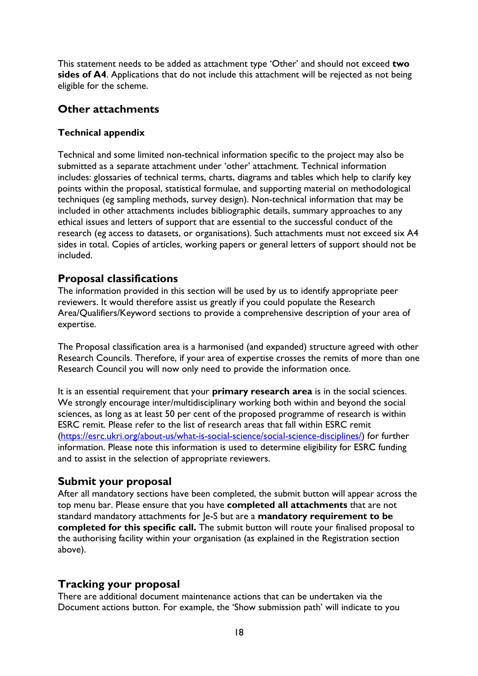This statement needs to be added as attachment type 'Other' and should not exceed **two sides of A4**. Applications that do not include this attachment will be rejected as not being eligible for the scheme.

## <span id="page-17-0"></span>**Other attachments**

#### <span id="page-17-1"></span>**Technical appendix**

Technical and some limited non-technical information specific to the project may also be submitted as a separate attachment under 'other' attachment. Technical information includes: glossaries of technical terms, charts, diagrams and tables which help to clarify key points within the proposal, statistical formulae, and supporting material on methodological techniques (eg sampling methods, survey design). Non-technical information that may be included in other attachments includes bibliographic details, summary approaches to any ethical issues and letters of support that are essential to the successful conduct of the research (eg access to datasets, or organisations). Such attachments must not exceed six A4 sides in total. Copies of articles, working papers or general letters of support should not be included.

### <span id="page-17-2"></span>**Proposal classifications**

The information provided in this section will be used by us to identify appropriate peer reviewers. It would therefore assist us greatly if you could populate the Research Area/Qualifiers/Keyword sections to provide a comprehensive description of your area of expertise.

The Proposal classification area is a harmonised (and expanded) structure agreed with other Research Councils. Therefore, if your area of expertise crosses the remits of more than one Research Council you will now only need to provide the information once.

It is an essential requirement that your **primary research area** is in the social sciences. We strongly encourage inter/multidisciplinary working both within and beyond the social sciences, as long as at least 50 per cent of the proposed programme of research is within ESRC remit. Please refer to the list of research areas that fall within ESRC remit [\(https://esrc.ukri.org/about-us/what-is-social-science/social-science-disciplines/\)](https://esrc.ukri.org/about-us/what-is-social-science/social-science-disciplines/) for further information. Please note this information is used to determine eligibility for ESRC funding and to assist in the selection of appropriate reviewers.

### <span id="page-17-3"></span>**Submit your proposal**

After all mandatory sections have been completed, the submit button will appear across the top menu bar. Please ensure that you have **completed all attachments** that are not standard mandatory attachments for Je-S but are a **mandatory requirement to be completed for this specific call.** The submit button will route your finalised proposal to the authorising facility within your organisation (as explained in the Registration section above).

## <span id="page-17-4"></span>**Tracking your proposal**

There are additional document maintenance actions that can be undertaken via the Document actions button. For example, the 'Show submission path' will indicate to you